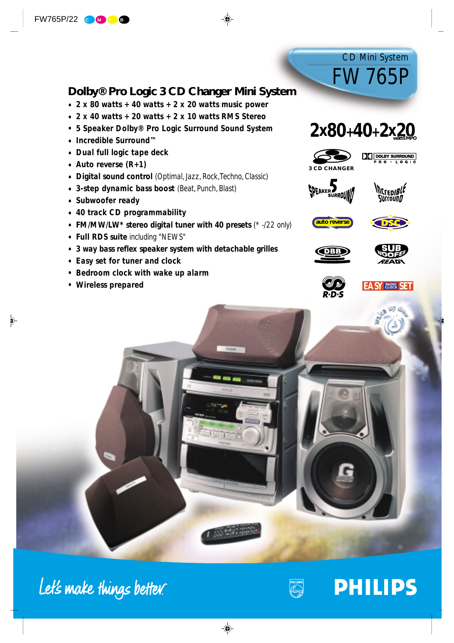# **Dolby® Pro Logic 3 CD Changer Mini System**

- *• 2 x 80 watts + 40 watts + 2 x 20 watts music power*
- *• 2 x 40 watts + 20 watts + 2 x 10 watts RMS Stereo*
- *5 Speaker Dolby® Pro Logic Surround Sound System*
- *• Incredible Surround™*
- *• Dual full logic tape deck*
- *• Auto reverse (R+1)*
- *• Digital sound control (Optimal, Jazz, Rock, Techno, Classic)*
- *• 3-step dynamic bass boost (Beat, Punch, Blast)*
- *• Subwoofer ready*
- *• 40 track CD programmability*
- *• FM/MW/LW\* stereo digital tuner with 40 presets (\* -/22 only)*
- *• Full RDS suite including "NEWS"*
- *• 3 way bass reflex speaker system with detachable grilles*
- *• Easy set for tuner and clock*
- *Bedroom clock with wake up alarm*
- *Wireless prepared*



FW765P

CD Mini System





















Let's make things better.